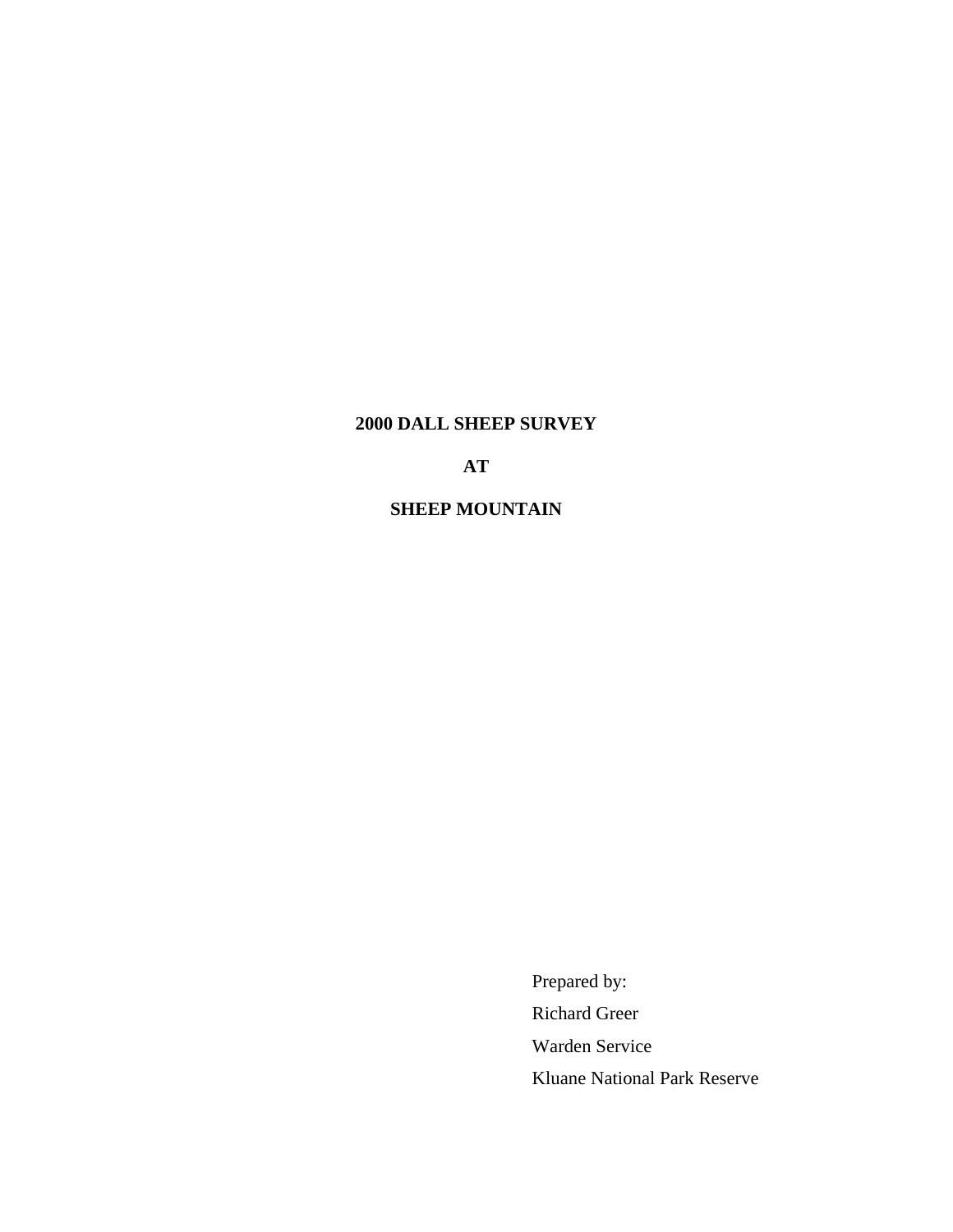# **2000 DALL SHEEP SURVEY**

# **AT**

## **SHEEP MOUNTAIN**

Prepared by: Richard Greer Warden Service Kluane National Park Reserve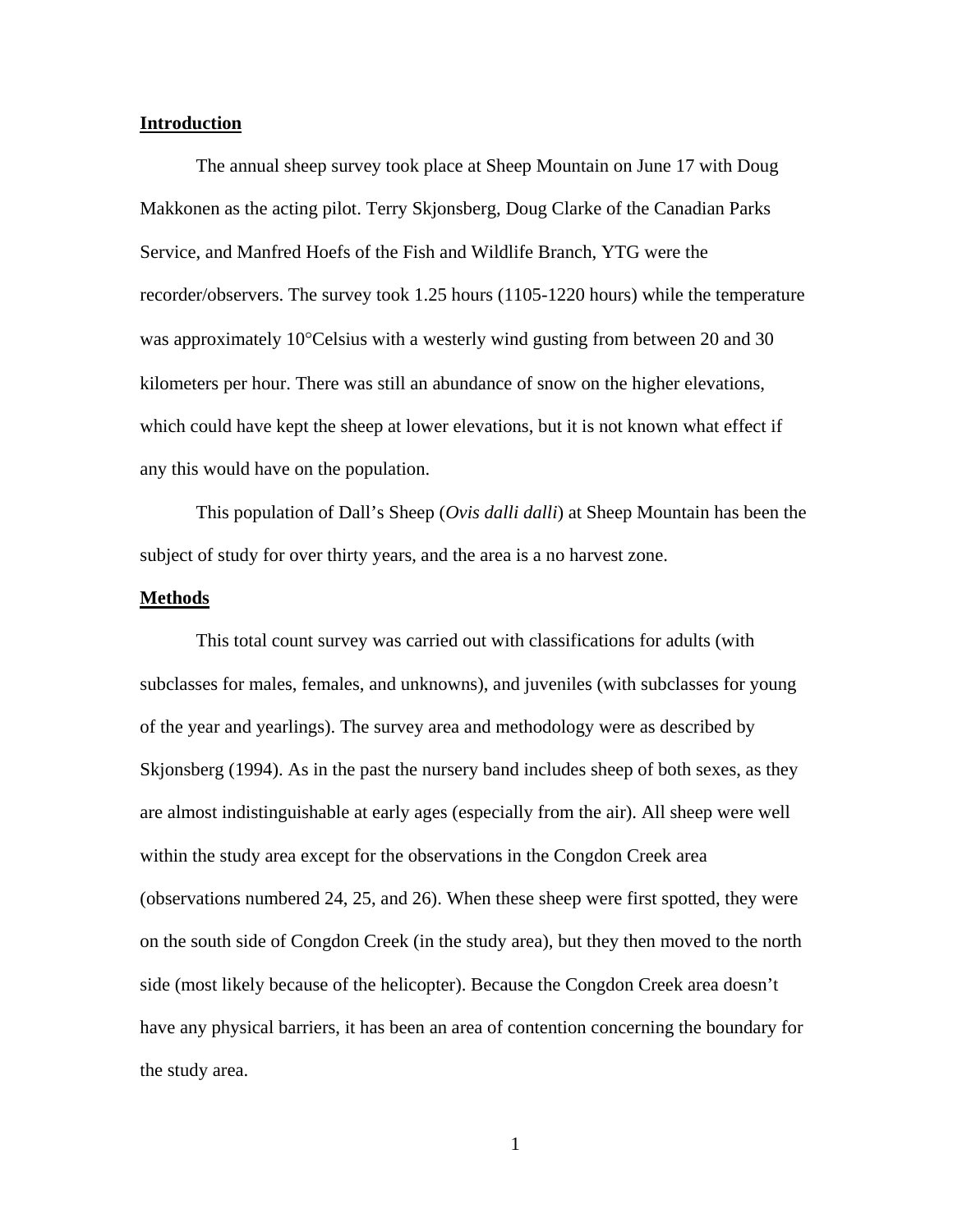#### **Introduction**

The annual sheep survey took place at Sheep Mountain on June 17 with Doug Makkonen as the acting pilot. Terry Skjonsberg, Doug Clarke of the Canadian Parks Service, and Manfred Hoefs of the Fish and Wildlife Branch, YTG were the recorder/observers. The survey took 1.25 hours (1105-1220 hours) while the temperature was approximately 10°Celsius with a westerly wind gusting from between 20 and 30 kilometers per hour. There was still an abundance of snow on the higher elevations, which could have kept the sheep at lower elevations, but it is not known what effect if any this would have on the population.

This population of Dall's Sheep (*Ovis dalli dalli*) at Sheep Mountain has been the subject of study for over thirty years, and the area is a no harvest zone.

#### **Methods**

This total count survey was carried out with classifications for adults (with subclasses for males, females, and unknowns), and juveniles (with subclasses for young of the year and yearlings). The survey area and methodology were as described by Skjonsberg (1994). As in the past the nursery band includes sheep of both sexes, as they are almost indistinguishable at early ages (especially from the air). All sheep were well within the study area except for the observations in the Congdon Creek area (observations numbered 24, 25, and 26). When these sheep were first spotted, they were on the south side of Congdon Creek (in the study area), but they then moved to the north side (most likely because of the helicopter). Because the Congdon Creek area doesn't have any physical barriers, it has been an area of contention concerning the boundary for the study area.

1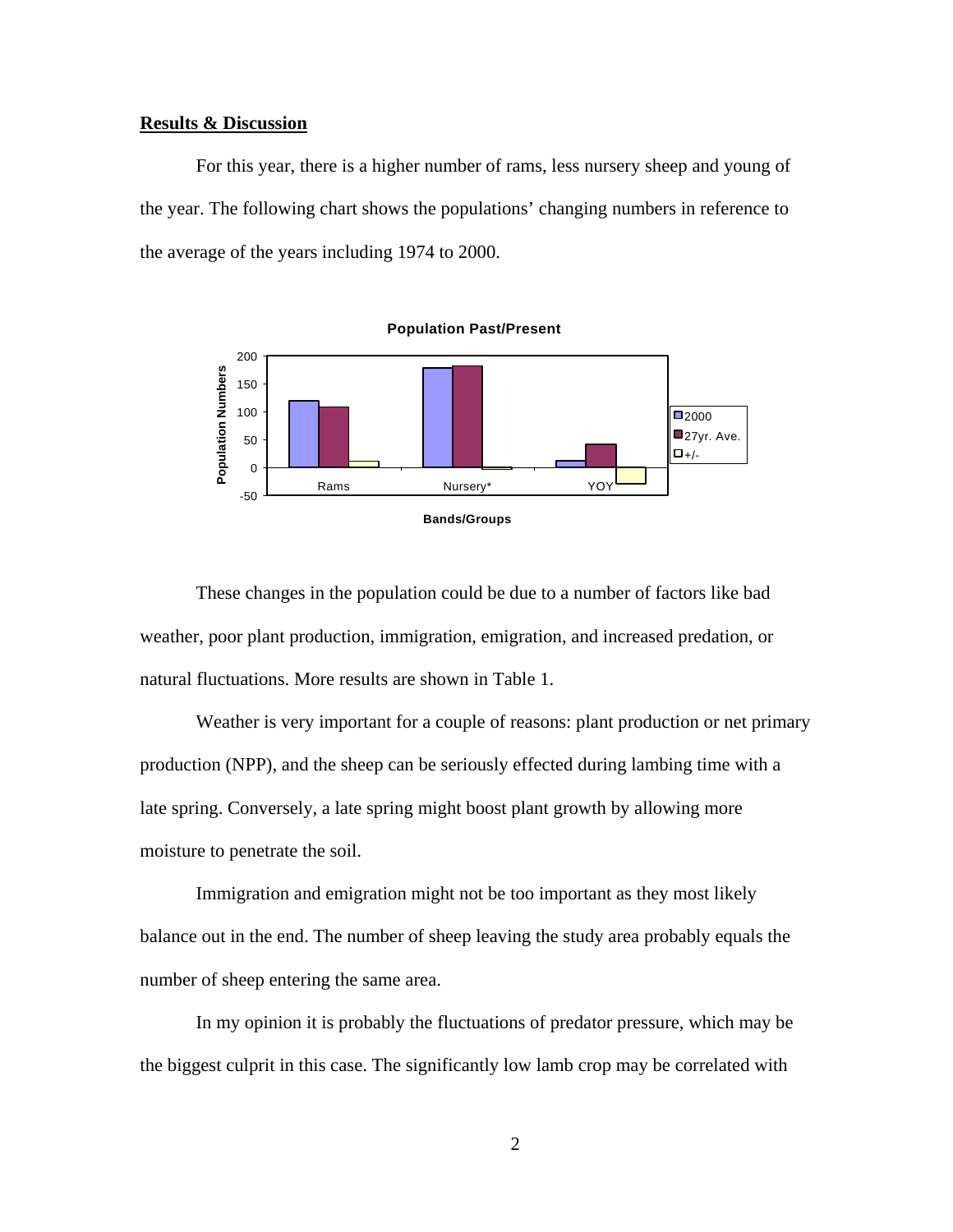#### **Results & Discussion**

For this year, there is a higher number of rams, less nursery sheep and young of the year. The following chart shows the populations' changing numbers in reference to the average of the years including 1974 to 2000.



These changes in the population could be due to a number of factors like bad weather, poor plant production, immigration, emigration, and increased predation, or natural fluctuations. More results are shown in Table 1.

Weather is very important for a couple of reasons: plant production or net primary production (NPP), and the sheep can be seriously effected during lambing time with a late spring. Conversely, a late spring might boost plant growth by allowing more moisture to penetrate the soil.

Immigration and emigration might not be too important as they most likely balance out in the end. The number of sheep leaving the study area probably equals the number of sheep entering the same area.

In my opinion it is probably the fluctuations of predator pressure, which may be the biggest culprit in this case. The significantly low lamb crop may be correlated with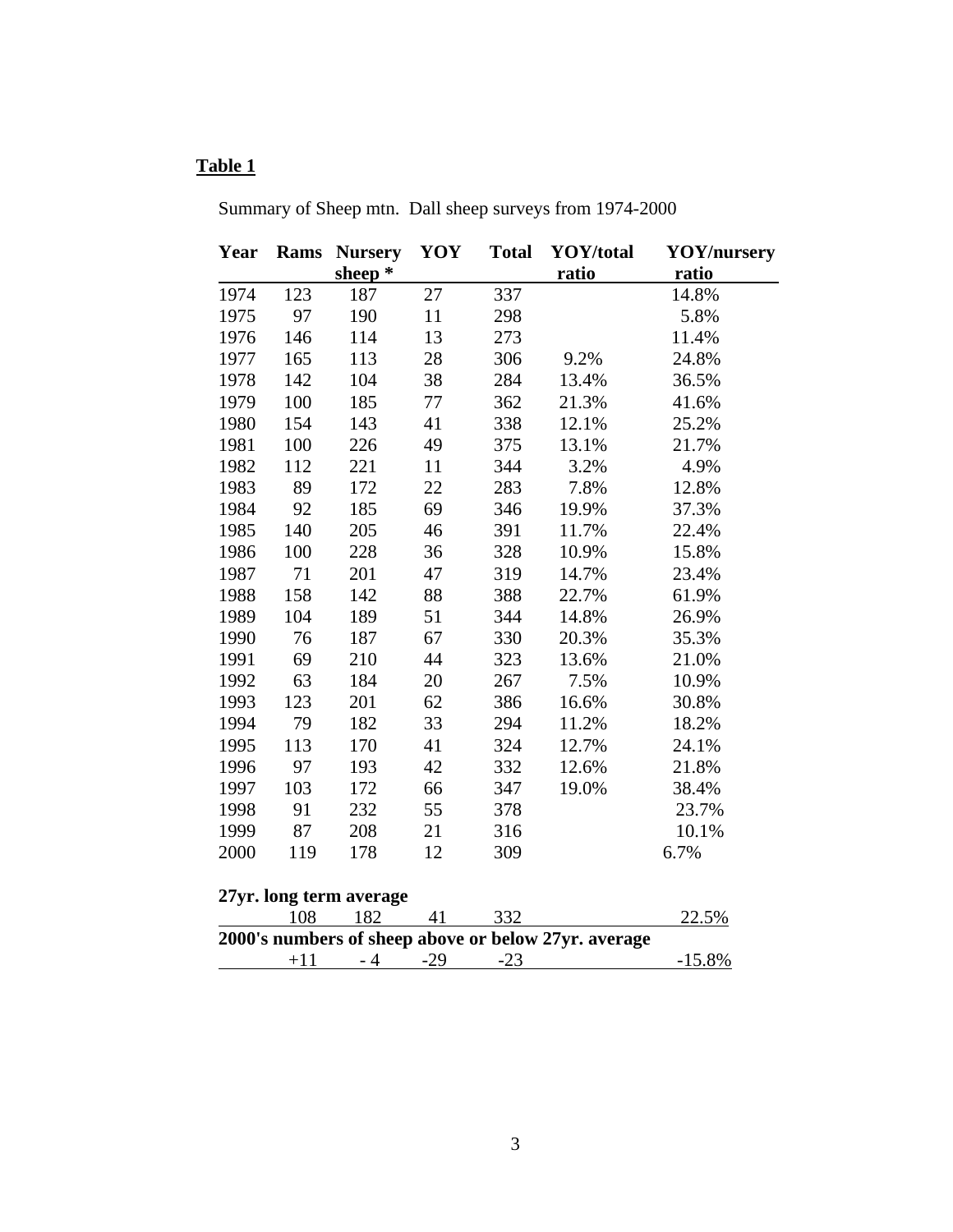# **Table 1**

Summary of Sheep mtn. Dall sheep surveys from 1974-2000

| Year                                                 | Rams  | <b>Nursery</b> | YOY   | <b>Total</b> | YOY/total | <b>YOY/nursery</b> |
|------------------------------------------------------|-------|----------------|-------|--------------|-----------|--------------------|
|                                                      |       | sheep*         |       |              | ratio     | ratio              |
| 1974                                                 | 123   | 187            | 27    | 337          |           | 14.8%              |
| 1975                                                 | 97    | 190            | 11    | 298          |           | 5.8%               |
| 1976                                                 | 146   | 114            | 13    | 273          |           | 11.4%              |
| 1977                                                 | 165   | 113            | 28    | 306          | 9.2%      | 24.8%              |
| 1978                                                 | 142   | 104            | 38    | 284          | 13.4%     | 36.5%              |
| 1979                                                 | 100   | 185            | 77    | 362          | 21.3%     | 41.6%              |
| 1980                                                 | 154   | 143            | 41    | 338          | 12.1%     | 25.2%              |
| 1981                                                 | 100   | 226            | 49    | 375          | 13.1%     | 21.7%              |
| 1982                                                 | 112   | 221            | 11    | 344          | 3.2%      | 4.9%               |
| 1983                                                 | 89    | 172            | 22    | 283          | 7.8%      | 12.8%              |
| 1984                                                 | 92    | 185            | 69    | 346          | 19.9%     | 37.3%              |
| 1985                                                 | 140   | 205            | 46    | 391          | 11.7%     | 22.4%              |
| 1986                                                 | 100   | 228            | 36    | 328          | 10.9%     | 15.8%              |
| 1987                                                 | 71    | 201            | 47    | 319          | 14.7%     | 23.4%              |
| 1988                                                 | 158   | 142            | 88    | 388          | 22.7%     | 61.9%              |
| 1989                                                 | 104   | 189            | 51    | 344          | 14.8%     | 26.9%              |
| 1990                                                 | 76    | 187            | 67    | 330          | 20.3%     | 35.3%              |
| 1991                                                 | 69    | 210            | 44    | 323          | 13.6%     | 21.0%              |
| 1992                                                 | 63    | 184            | 20    | 267          | 7.5%      | 10.9%              |
| 1993                                                 | 123   | 201            | 62    | 386          | 16.6%     | 30.8%              |
| 1994                                                 | 79    | 182            | 33    | 294          | 11.2%     | 18.2%              |
| 1995                                                 | 113   | 170            | 41    | 324          | 12.7%     | 24.1%              |
| 1996                                                 | 97    | 193            | 42    | 332          | 12.6%     | 21.8%              |
| 1997                                                 | 103   | 172            | 66    | 347          | 19.0%     | 38.4%              |
| 1998                                                 | 91    | 232            | 55    | 378          |           | 23.7%              |
| 1999                                                 | 87    | 208            | 21    | 316          |           | 10.1%              |
| 2000                                                 | 119   | 178            | 12    | 309          |           | 6.7%               |
| 27yr. long term average                              |       |                |       |              |           |                    |
|                                                      | 108   | 182            | 41    | 332          |           | 22.5%              |
| 2000's numbers of sheep above or below 27yr. average |       |                |       |              |           |                    |
|                                                      | $+11$ | $-4$           | $-29$ | $-23$        |           | $-15.8%$           |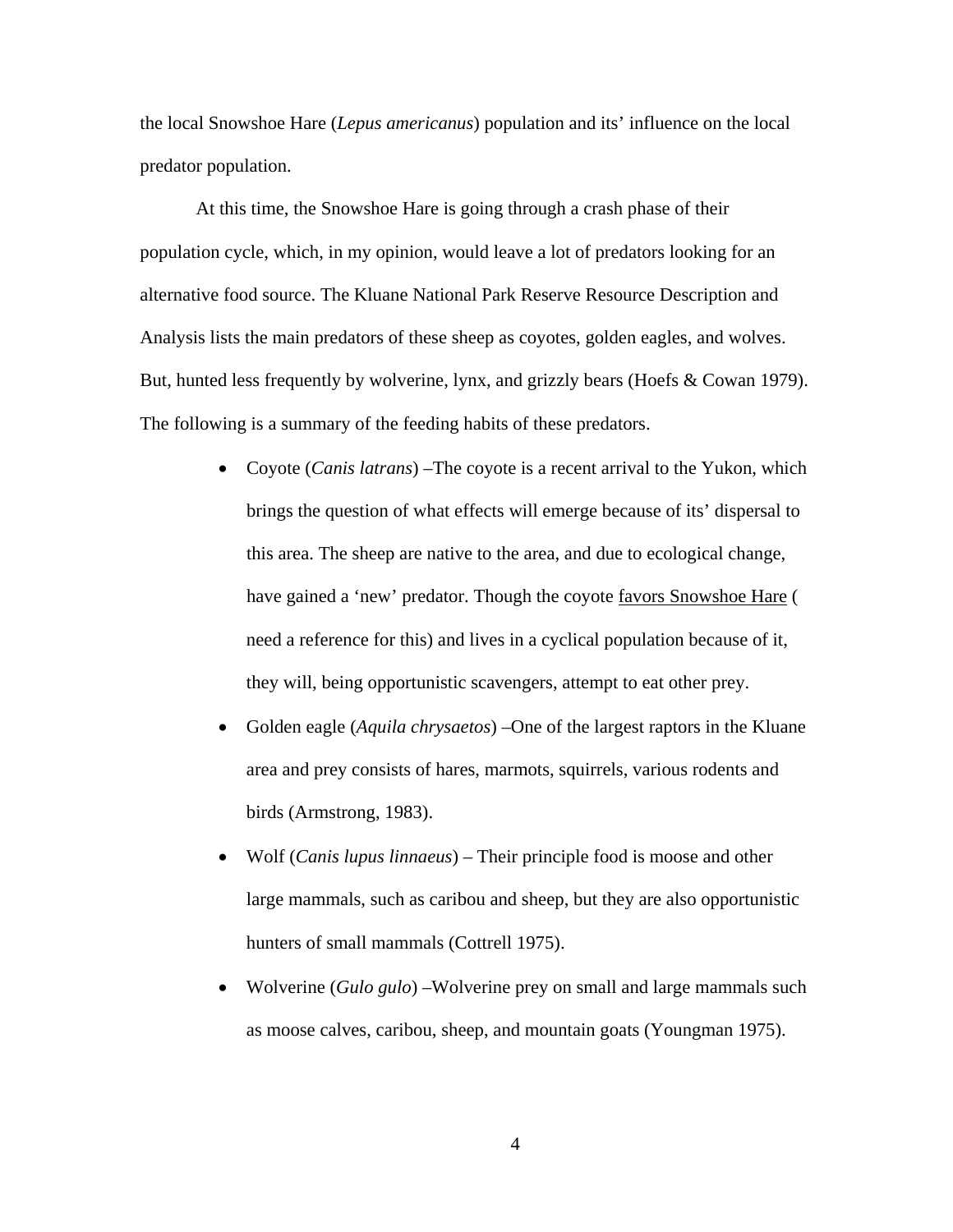the local Snowshoe Hare (*Lepus americanus*) population and its' influence on the local predator population.

At this time, the Snowshoe Hare is going through a crash phase of their population cycle, which, in my opinion, would leave a lot of predators looking for an alternative food source. The Kluane National Park Reserve Resource Description and Analysis lists the main predators of these sheep as coyotes, golden eagles, and wolves. But, hunted less frequently by wolverine, lynx, and grizzly bears (Hoefs & Cowan 1979). The following is a summary of the feeding habits of these predators.

- Coyote (*Canis latrans*) –The coyote is a recent arrival to the Yukon, which brings the question of what effects will emerge because of its' dispersal to this area. The sheep are native to the area, and due to ecological change, have gained a 'new' predator. Though the coyote favors Snowshoe Hare ( need a reference for this) and lives in a cyclical population because of it, they will, being opportunistic scavengers, attempt to eat other prey.
- Golden eagle (*Aquila chrysaetos*) –One of the largest raptors in the Kluane area and prey consists of hares, marmots, squirrels, various rodents and birds (Armstrong, 1983).
- Wolf (*Canis lupus linnaeus*) Their principle food is moose and other large mammals, such as caribou and sheep, but they are also opportunistic hunters of small mammals (Cottrell 1975).
- Wolverine (*Gulo gulo*) –Wolverine prey on small and large mammals such as moose calves, caribou, sheep, and mountain goats (Youngman 1975).

4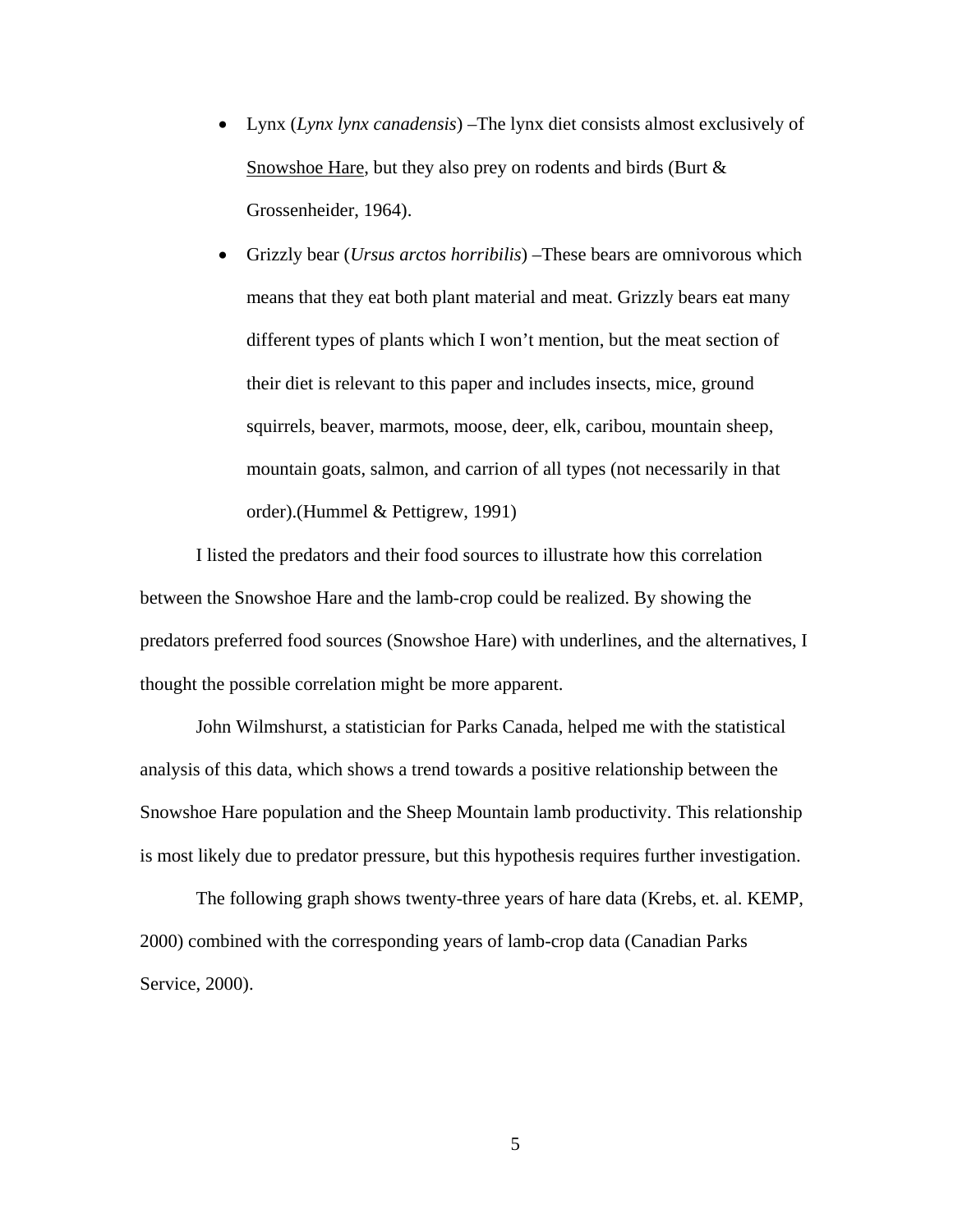- Lynx (*Lynx lynx canadensis*) –The lynx diet consists almost exclusively of Snowshoe Hare, but they also prey on rodents and birds (Burt & Grossenheider, 1964).
- Grizzly bear (*Ursus arctos horribilis*) –These bears are omnivorous which means that they eat both plant material and meat. Grizzly bears eat many different types of plants which I won't mention, but the meat section of their diet is relevant to this paper and includes insects, mice, ground squirrels, beaver, marmots, moose, deer, elk, caribou, mountain sheep, mountain goats, salmon, and carrion of all types (not necessarily in that order).(Hummel & Pettigrew, 1991)

I listed the predators and their food sources to illustrate how this correlation between the Snowshoe Hare and the lamb-crop could be realized. By showing the predators preferred food sources (Snowshoe Hare) with underlines, and the alternatives, I thought the possible correlation might be more apparent.

John Wilmshurst, a statistician for Parks Canada, helped me with the statistical analysis of this data, which shows a trend towards a positive relationship between the Snowshoe Hare population and the Sheep Mountain lamb productivity. This relationship is most likely due to predator pressure, but this hypothesis requires further investigation.

The following graph shows twenty-three years of hare data (Krebs, et. al. KEMP, 2000) combined with the corresponding years of lamb-crop data (Canadian Parks Service, 2000).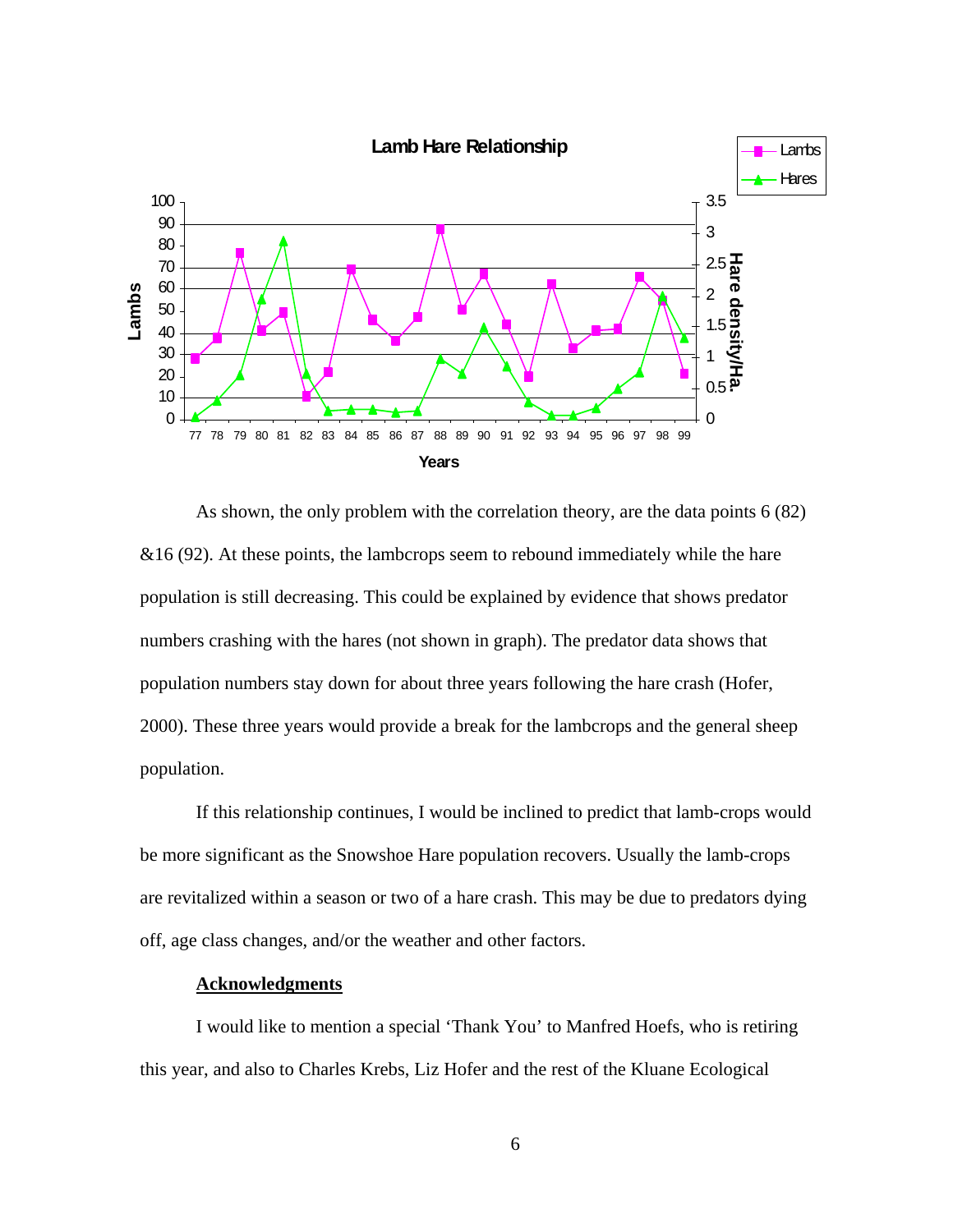

As shown, the only problem with the correlation theory, are the data points 6 (82)  $&16(92)$ . At these points, the lambcrops seem to rebound immediately while the hare population is still decreasing. This could be explained by evidence that shows predator numbers crashing with the hares (not shown in graph). The predator data shows that population numbers stay down for about three years following the hare crash (Hofer, 2000). These three years would provide a break for the lambcrops and the general sheep population.

If this relationship continues, I would be inclined to predict that lamb-crops would be more significant as the Snowshoe Hare population recovers. Usually the lamb-crops are revitalized within a season or two of a hare crash. This may be due to predators dying off, age class changes, and/or the weather and other factors.

## **Acknowledgments**

I would like to mention a special 'Thank You' to Manfred Hoefs, who is retiring this year, and also to Charles Krebs, Liz Hofer and the rest of the Kluane Ecological

6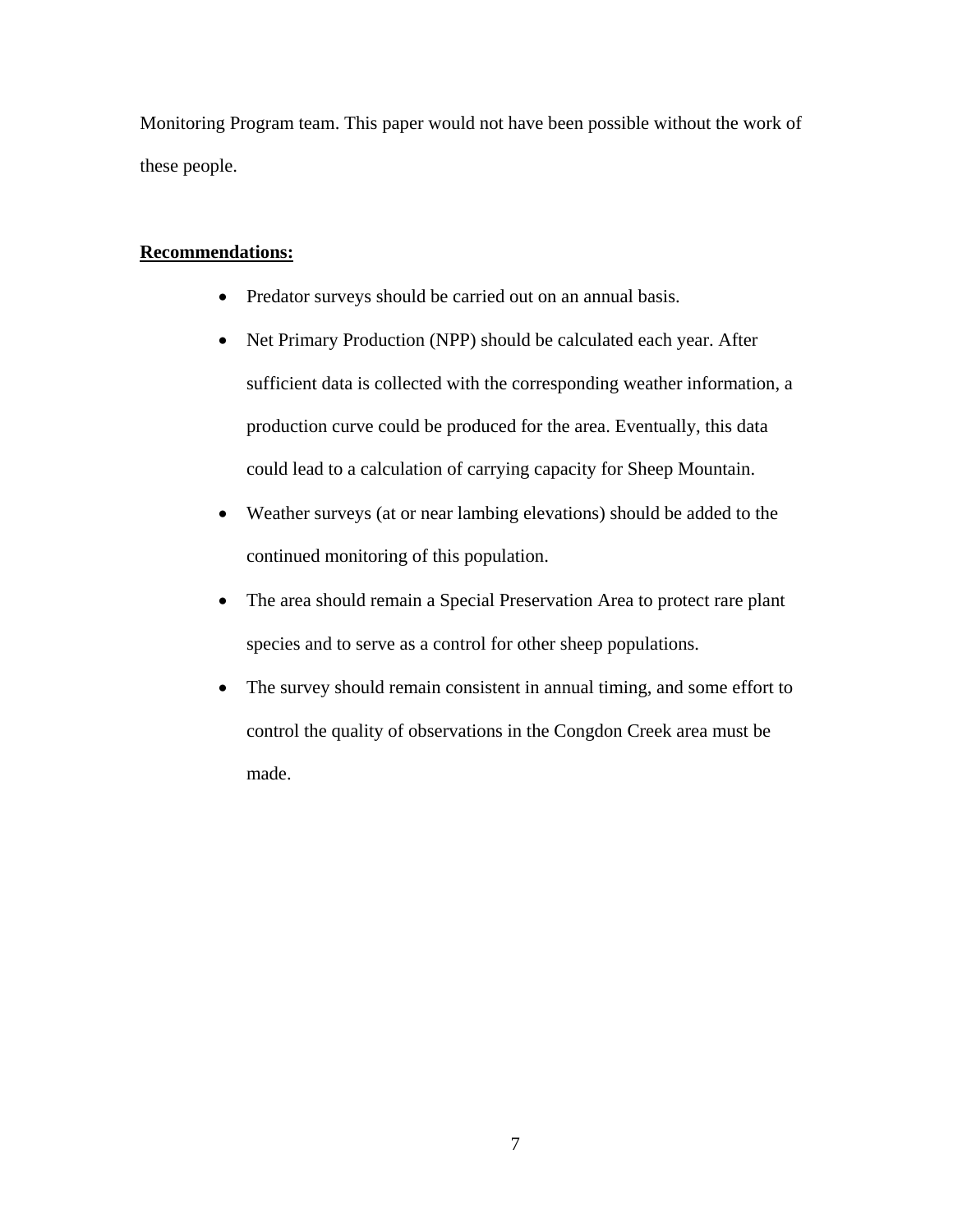Monitoring Program team. This paper would not have been possible without the work of these people.

## **Recommendations:**

- Predator surveys should be carried out on an annual basis.
- Net Primary Production (NPP) should be calculated each year. After sufficient data is collected with the corresponding weather information, a production curve could be produced for the area. Eventually, this data could lead to a calculation of carrying capacity for Sheep Mountain.
- Weather surveys (at or near lambing elevations) should be added to the continued monitoring of this population.
- The area should remain a Special Preservation Area to protect rare plant species and to serve as a control for other sheep populations.
- The survey should remain consistent in annual timing, and some effort to control the quality of observations in the Congdon Creek area must be made.